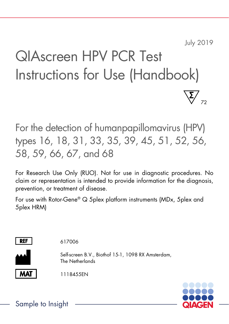July 2019

# QIAscreen HPV PCR Test Instructions for Use (Handbook) 72

For the detection of humanpapillomavirus (HPV) types 16, 18, 31, 33, 35, 39, 45, 51, 52, 56, 58, 59, 66, 67, and 68

For Research Use Only (RUO). Not for use in diagnostic procedures. No claim or representation is intended to provide information for the diagnosis, prevention, or treatment of disease.

For use with Rotor-Gene® Q 5plex platform instruments (MDx, 5plex and 5plex HRM)



617006

Self-screen B.V., Biothof 15-1, 1098 RX Amsterdam, The Netherlands

1118455EN



Sample to Insight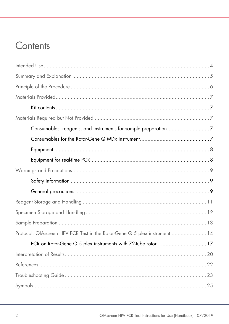### Contents

| Protocol: QIAscreen HPV PCR Test in the Rotor-Gene Q 5 plex instrument  14 |  |
|----------------------------------------------------------------------------|--|
| PCR on Rotor-Gene Q 5 plex instruments with 72-tube rotor  17              |  |
|                                                                            |  |
|                                                                            |  |
|                                                                            |  |
|                                                                            |  |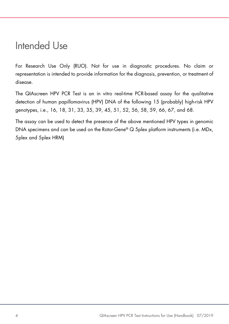### Intended Use

For Research Use Only (RUO). Not for use in diagnostic procedures. No claim or representation is intended to provide information for the diagnosis, prevention, or treatment of disease.

The QIAscreen HPV PCR Test is an in vitro real-time PCR-based assay for the qualitative detection of human papillomavirus (HPV) DNA of the following 15 (probably) high-risk HPV genotypes, i.e., 16, 18, 31, 33, 35, 39, 45, 51, 52, 56, 58, 59, 66, 67, and 68.

The assay can be used to detect the presence of the above mentioned HPV types in genomic DNA specimens and can be used on the Rotor-Gene® Q 5plex platform instruments (i.e. MDx, 5plex and 5plex HRM)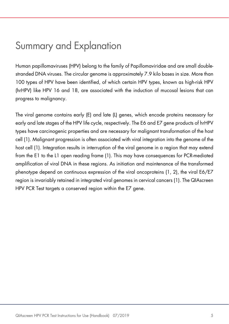### Summary and Explanation

Human papillomaviruses (HPV) belong to the family of Papillomaviridae and are small doublestranded DNA viruses. The circular genome is approximately 7.9 kilo bases in size. More than 100 types of HPV have been identified, of which certain HPV types, known as high-risk HPV (hrHPV) like HPV 16 and 18, are associated with the induction of mucosal lesions that can progress to malignancy.

The viral genome contains early (E) and late (L) genes, which encode proteins necessary for early and late stages of the HPV life cycle, respectively. The E6 and E7 gene products of hrHPV types have carcinogenic properties and are necessary for malignant transformation of the host cell (1). Malignant progression is often associated with viral integration into the genome of the host cell (1). Integration results in interruption of the viral genome in a region that may extend from the E1 to the L1 open reading frame (1). This may have consequences for PCR-mediated amplification of viral DNA in these regions. As initiation and maintenance of the transformed phenotype depend on continuous expression of the viral oncoproteins (1, 2), the viral E6/E7 region is invariably retained in integrated viral genomes in cervical cancers (1). The QIAscreen HPV PCR Test targets a conserved region within the E7 gene.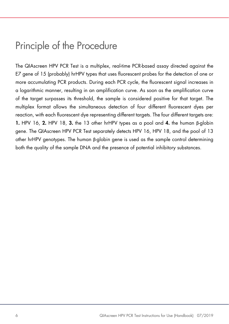### Principle of the Procedure

The QIAscreen HPV PCR Test is a multiplex, real-time PCR-based assay directed against the E7 gene of 15 (probably) hrHPV types that uses fluorescent probes for the detection of one or more accumulating PCR products. During each PCR cycle, the fluorescent signal increases in a logarithmic manner, resulting in an amplification curve. As soon as the amplification curve of the target surpasses its threshold, the sample is considered positive for that target. The multiplex format allows the simultaneous detection of four different fluorescent dyes per reaction, with each fluorescent dye representing different targets. The four different targets are: 1. HPV 16, 2. HPV 18, 3. the 13 other hrHPV types as a pool and 4. the human β-globin gene. The QIAscreen HPV PCR Test separately detects HPV 16, HPV 18, and the pool of 13 other hrHPV genotypes. The human β-globin gene is used as the sample control determining both the quality of the sample DNA and the presence of potential inhibitory substances.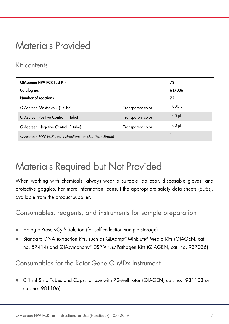### Materials Provided

### Kit contents

| <b>QIAscreen HPV PCR Test Kit</b>                      |                   | 72          |
|--------------------------------------------------------|-------------------|-------------|
| Catalog no.                                            |                   | 617006      |
| <b>Number of reactions</b>                             |                   | 72          |
| QIAscreen Master Mix (1 tube)                          | Transparent color | 1080 µl     |
| QIAscreen Positive Control (1 tube)                    | Transparent color | $100$ $\mu$ |
| QIAscreen Negative Control (1 tube)                    | Transparent color | $100 \mu$   |
| QIAscreen HPV PCR Test Instructions for Use (Handbook) |                   |             |

### Materials Required but Not Provided

When working with chemicals, always wear a suitable lab coat, disposable gloves, and protective goggles. For more information, consult the appropriate safety data sheets (SDSs), available from the product supplier.

Consumables, reagents, and instruments for sample preparation

- Hologic PreservCyt® Solution (for self-collection sample storage)
- Standard DNA extraction kits, such as QIAamp® MinElute® Media Kits (QIAGEN, cat. no. 57414) and QIAsymphony® DSP Virus/Pathogen Kits (QIAGEN, cat. no. 937036)

Consumables for the Rotor-Gene Q MDx Instrument

 0.1 ml Strip Tubes and Caps, for use with 72-well rotor (QIAGEN, cat. no. 981103 or cat. no. 981106)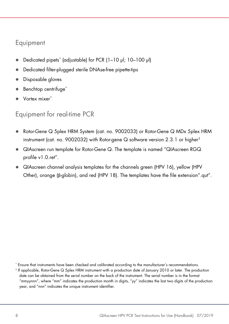### Equipment

- Dedicated pipets\* (adjustable) for PCR (1–10 µl; 10–100 µl)
- Dedicated filter-plugged sterile DNAse-free pipette-tips
- Disposable gloves
- Benchtop centrifuge<sup>\*</sup>
- Vortex mixer\*

### Equipment for real-time PCR

- Rotor-Gene Q 5plex HRM System (cat. no. 9002033) or Rotor-Gene Q MDx 5plex HRM instrument (cat. no. 9002032) with Rotor-gene Q software version 2.3.1 or higher†
- QIAscreen run template for Rotor-Gene Q. The template is named "QIAscreen RGQ profile v1.0.ret".
- QIAscreen channel analysis templates for the channels green (HPV 16), yellow (HPV Other), orange (β-globin), and red (HPV 18). The templates have the file extension".qut".

\* Ensure that instruments have been checked and calibrated according to the manufacturer's recommendations.

<sup>†</sup> If applicable, Rotor-Gene Q 5plex HRM instrument with a production date of January 2010 or later. The production date can be obtained from the serial number on the back of the instrument. The serial number is in the format "mmyynnn", where "mm" indicates the production month in digits, "yy" indicates the last two digits of the production year, and "nnn" indicates the unique instrument identifier.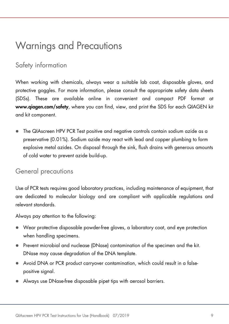### Warnings and Precautions

### Safety information

When working with chemicals, always wear a suitable lab coat, disposable gloves, and protective goggles. For more information, please consult the appropriate safety data sheets (SDSs). These are available online in convenient and compact PDF format at www.qiagen.com/safety, where you can find, view, and print the SDS for each QIAGEN kit and kit component.

 The QIAscreen HPV PCR Test positive and negative controls contain sodium azide as a preservative (0.01%). Sodium azide may react with lead and copper plumbing to form explosive metal azides. On disposal through the sink, flush drains with generous amounts of cold water to prevent azide build-up.

#### General precautions

Use of PCR tests requires good laboratory practices, including maintenance of equipment, that are dedicated to molecular biology and are compliant with applicable regulations and relevant standards.

Always pay attention to the following:

- Wear protective disposable powder-free gloves, a laboratory coat, and eye protection when handling specimens.
- Prevent microbial and nuclease (DNase) contamination of the specimen and the kit. DNase may cause degradation of the DNA template.
- Avoid DNA or PCR product carryover contamination, which could result in a falsepositive signal.
- Always use DNase-free disposable pipet tips with aerosol barriers.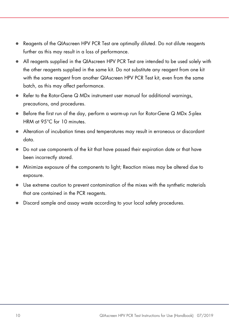- Reagents of the QIAscreen HPV PCR Test are optimally diluted. Do not dilute reagents further as this may result in a loss of performance.
- All reagents supplied in the QIAscreen HPV PCR Test are intended to be used solely with the other reagents supplied in the same kit. Do not substitute any reagent from one kit with the same reagent from another QIAscreen HPV PCR Test kit, even from the same batch, as this may affect performance.
- Refer to the Rotor-Gene Q MDx instrument user manual for additional warnings, precautions, and procedures.
- Before the first run of the day, perform a warm-up run for Rotor-Gene Q MDx 5-plex HRM at 95°C for 10 minutes.
- Alteration of incubation times and temperatures may result in erroneous or discordant data.
- Do not use components of the kit that have passed their expiration date or that have been incorrectly stored.
- Minimize exposure of the components to light; Reaction mixes may be altered due to exposure.
- Use extreme caution to prevent contamination of the mixes with the synthetic materials that are contained in the PCR reagents.
- Discard sample and assay waste according to your local safety procedures.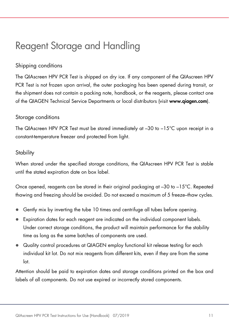### Reagent Storage and Handling

#### Shipping conditions

The QIAscreen HPV PCR Test is shipped on dry ice. If any component of the QIAscreen HPV PCR Test is not frozen upon arrival, the outer packaging has been opened during transit, or the shipment does not contain a packing note, handbook, or the reagents, please contact one of the QIAGEN Technical Service Departments or local distributors (visit www.qiagen.com).

#### Storage conditions

The QIAscreen HPV PCR Test must be stored immediately at –30 to –15°C upon receipt in a constant-temperature freezer and protected from light.

#### **Stability**

When stored under the specified storage conditions, the QIAscreen HPV PCR Test is stable until the stated expiration date on box label.

Once opened, reagents can be stored in their original packaging at  $-30$  to  $-15^{\circ}$ C. Repeated thawing and freezing should be avoided. Do not exceed a maximum of 5 freeze–thaw cycles.

- Gently mix by inverting the tube 10 times and centrifuge all tubes before opening.
- Expiration dates for each reagent are indicated on the individual component labels. Under correct storage conditions, the product will maintain performance for the stability time as long as the same batches of components are used.
- Quality control procedures at QIAGEN employ functional kit release testing for each individual kit lot. Do not mix reagents from different kits, even if they are from the same  $\overline{a}$

Attention should be paid to expiration dates and storage conditions printed on the box and labels of all components. Do not use expired or incorrectly stored components.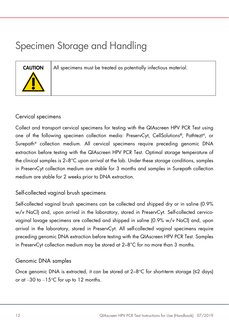# Specimen Storage and Handling

CAUTION All specimens must be treated as potentially infectious material.



#### Cervical specimens

Collect and transport cervical specimens for testing with the QIAscreen HPV PCR Test using one of the following specimen collection media: PreservCyt, CellSolutions®, Pathtezt®, or Surepath® collection medium. All cervical specimens require preceding genomic DNA extraction before testing with the QIAscreen HPV PCR Test. Optimal storage temperature of the clinical samples is 2–8°C upon arrival at the lab. Under these storage conditions, samples in PreservCyt collection medium are stable for 3 months and samples in Surepath collection medium are stable for 2 weeks prior to DNA extraction.

#### Self-collected vaginal brush specimens

Self-collected vaginal brush specimens can be collected and shipped dry or in saline (0.9% w/v NaCl) and, upon arrival in the laboratory, stored in PreservCyt. Self-collected cervicovaginal lavage specimens are collected and shipped in saline (0.9% w/v NaCl) and, upon arrival in the laboratory, stored in PreservCyt. All self-collected vaginal specimens require preceding genomic DNA extraction before testing with the QIAscreen HPV PCR Test. Samples in PreservCyt collection medium may be stored at 2–8°C for no more than 3 months.

#### Genomic DNA samples

Once genomic DNA is extracted, it can be stored at  $2-8$ °C for short-term storage ( $\leq$ 2 days) or at  $-30$  to  $-15^{\circ}$ C for up to 12 months.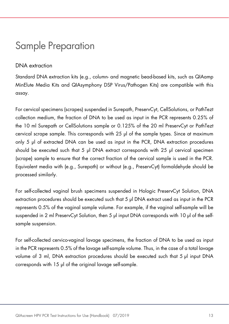### Sample Preparation

#### DNA extraction

Standard DNA extraction kits (e.g., column- and magnetic bead-based kits, such as QIAamp MinElute Media Kits and QIAsymphony DSP Virus/Pathogen Kits) are compatible with this assay.

For cervical specimens (scrapes) suspended in Surepath, PreservCyt, CellSolutions, or PathTezt collection medium, the fraction of DNA to be used as input in the PCR represents 0.25% of the 10 ml Surepath or CellSolutions sample or 0.125% of the 20 ml PreservCyt or PathTezt cervical scrape sample. This corresponds with 25 µl of the sample types. Since at maximum only 5 µl of extracted DNA can be used as input in the PCR, DNA extraction procedures should be executed such that 5 µl DNA extract corresponds with 25 µl cervical specimen (scrape) sample to ensure that the correct fraction of the cervical sample is used in the PCR. Equivalent media with (e.g., Surepath) or without (e.g., PreservCyt) formaldehyde should be processed similarly.

For self-collected vaginal brush specimens suspended in Hologic PreservCyt Solution, DNA extraction procedures should be executed such that 5 µl DNA extract used as input in the PCR represents 0.5% of the vaginal sample volume. For example, if the vaginal self-sample will be suspended in 2 ml PreservCyt Solution, then 5 µl input DNA corresponds with 10 µl of the selfsample suspension.

For self-collected cervico-vaginal lavage specimens, the fraction of DNA to be used as input in the PCR represents 0.5% of the lavage self-sample volume. Thus, in the case of a total lavage volume of 3 ml, DNA extraction procedures should be executed such that 5 ul input DNA corresponds with 15 µl of the original lavage self-sample.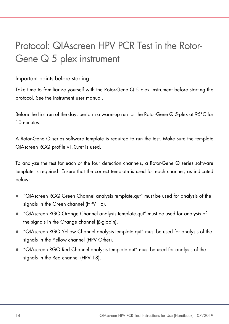## Protocol: QIAscreen HPV PCR Test in the Rotor-Gene  $\Omega$  5 plex instrument

#### Important points before starting

Take time to familiarize yourself with the Rotor-Gene Q 5 plex instrument before starting the protocol. See the instrument user manual.

Before the first run of the day, perform a warm-up run for the Rotor-Gene Q 5-plex at 95°C for 10 minutes.

A Rotor-Gene Q series software template is required to run the test. Make sure the template QIAscreen RGQ profile v1.0.ret is used.

To analyze the test for each of the four detection channels, a Rotor-Gene Q series software template is required. Ensure that the correct template is used for each channel, as indicated below:

- "QIAscreen RGQ Green Channel analysis template.qut" must be used for analysis of the signals in the Green channel (HPV 16).
- "QIAscreen RGQ Orange Channel analysis template.qut" must be used for analysis of the signals in the Orange channel (β-globin).
- "QIAscreen RGQ Yellow Channel analysis template.qut" must be used for analysis of the signals in the Yellow channel (HPV Other).
- "QIAscreen RGQ Red Channel analysis template.qut" must be used for analysis of the signals in the Red channel (HPV 18).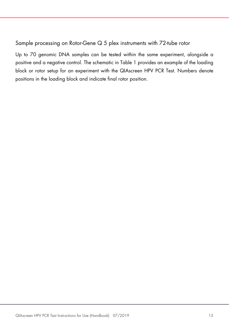#### Sample processing on Rotor-Gene Q 5 plex instruments with 72-tube rotor

Up to 70 genomic DNA samples can be tested within the same experiment, alongside a positive and a negative control. The schematic in Table 1 provides an example of the loading block or rotor setup for an experiment with the QIAscreen HPV PCR Test. Numbers denote positions in the loading block and indicate final rotor position.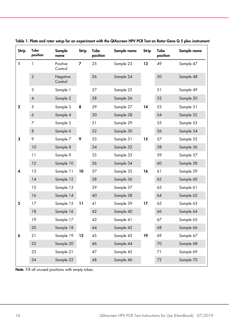| <b>Strip</b> | Tube<br>position | Sample<br>name      | Strip | Tube<br>position | Sample name | <b>Strip</b> | Tube<br>position | Sample name |
|--------------|------------------|---------------------|-------|------------------|-------------|--------------|------------------|-------------|
| 1            | 1                | Positive<br>Control | 7     | 25               | Sample 23   | 13           | 49               | Sample 47   |
|              | $\overline{2}$   | Negative<br>Control |       | 26               | Sample 24   |              | 50               | Sample 48   |
|              | 3                | Sample 1            |       | 27               | Sample 25   |              | 51               | Sample 49   |
|              | $\pmb{4}$        | Sample 2            |       | 28               | Sample 26   |              | 52               | Sample 50   |
| $\mathbf 2$  | 5                | Sample 3            | 8     | 29               | Sample 27   | 14           | 53               | Sample 51   |
|              | $\boldsymbol{6}$ | Sample 4            |       | 30               | Sample 28   |              | 54               | Sample 52   |
|              | $\overline{7}$   | Sample 5            |       | 31               | Sample 29   |              | 55               | Sample 53   |
|              | $\bf 8$          | Sample 6            |       | 32               | Sample 30   |              | 56               | Sample 54   |
| 3            | 9                | Sample 7            | 9     | 33               | Sample 31   | 15           | 57               | Sample 55   |
|              | 10               | Sample 8            |       | 34               | Sample 32   |              | 58               | Sample 56   |
|              | 11               | Sample 9            |       | 35               | Sample 33   |              | 59               | Sample 57   |
|              | 12               | Sample 10           |       | 36               | Sample 34   |              | 60               | Sample 58   |
| 4            | 13               | Sample 11           | 10    | 37               | Sample 35   | 16           | 61               | Sample 59   |
|              | 14               | Sample 12           |       | 38               | Sample 36   |              | 62               | Sample 60   |
|              | 15               | Sample 13           |       | 39               | Sample 37   |              | 63               | Sample 61   |
|              | 16               | Sample 14           |       | 40               | Sample 38   |              | 64               | Sample 62   |
| 5            | 17               | Sample 15           | 11    | 41               | Sample 39   | 17           | 65               | Sample 63   |
|              | 18               | Sample 16           |       | 42               | Sample 40   |              | 66               | Sample 64   |
|              | 19               | Sample 17           |       | 43               | Sample 41   |              | 67               | Sample 65   |
|              | 20               | Sample 18           |       | 44               | Sample 42   |              | 68               | Sample 66   |
| 6            | 21               | Sample 19           | 12    | 45               | Sample 43   | 19           | 69               | Sample 67   |
|              | 22               | Sample 20           |       | 46               | Sample 44   |              | 70               | Sample 68   |
|              | 23               | Sample 21           |       | 47               | Sample 45   |              | 71               | Sample 69   |
|              | 24               | Sample 22           |       | 48               | Sample 46   |              | 72               | Sample 70   |
|              |                  |                     |       |                  |             |              |                  |             |

Table 1. Plate and rotor setup for an experiment with the QIAscreen HPV PCR Test on Rotor-Gene Q 5 plex instrument

Note: Fill all unused positions with empty tubes.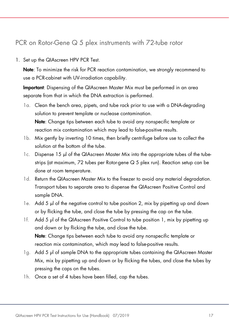### PCR on Rotor-Gene Q 5 plex instruments with 72-tube rotor

1. Set up the QIAscreen HPV PCR Test.

Note: To minimize the risk for PCR reaction contamination, we strongly recommend to use a PCR-cabinet with UV-irradiation capability.

Important: Dispensing of the QIAscreen Master Mix must be performed in an area separate from that in which the DNA extraction is performed.

- 1a. Clean the bench area, pipets, and tube rack prior to use with a DNA-degrading solution to prevent template or nuclease contamination. Note: Change tips between each tube to avoid any nonspecific template or reaction mix contamination which may lead to false-positive results.
- 1b. Mix gently by inverting 10 times, then briefly centrifuge before use to collect the solution at the bottom of the tube.
- 1c. Dispense 15 μl of the QIAscreen Master Mix into the appropriate tubes of the tubestrips (at maximum, 72 tubes per Rotor-gene Q 5 plex run). Reaction setup can be done at room temperature.
- 1d. Return the QIAscreen Master Mix to the freezer to avoid any material degradation. Transport tubes to separate area to dispense the QIAscreen Positive Control and sample DNA.
- 1e. Add 5 μl of the negative control to tube position 2, mix by pipetting up and down or by flicking the tube, and close the tube by pressing the cap on the tube.
- 1f. Add 5 µl of the QIAscreen Positive Control to tube position 1, mix by pipetting up and down or by flicking the tube, and close the tube. Note: Change tips between each tube to avoid any nonspecific template or reaction mix contamination, which may lead to false-positive results.
- 1g. Add 5 µl of sample DNA to the appropriate tubes containing the QIAscreen Master Mix, mix by pipetting up and down or by flicking the tubes, and close the tubes by pressing the caps on the tubes.
- 1h. Once a set of 4 tubes have been filled, cap the tubes.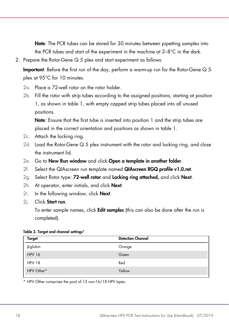Note: The PCR tubes can be stored for 30 minutes between pipetting samples into the PCR tubes and start of the experiment in the machine at 2–8°C in the dark.

2. Prepare the Rotor-Gene Q 5 plex and start experiment as follows:

Important: Before the first run of the day, perform a warm-up run for the Rotor-Gene Q 5 plex at 95°C for 10 minutes.

- 2a. Place a 72-well rotor on the rotor holder.
- 2b. Fill the rotor with strip tubes according to the assigned positions, starting at position 1, as shown in table 1, with empty capped strip tubes placed into all unused positions.

Note: Ensure that the first tube is inserted into position 1 and the strip tubes are placed in the correct orientation and positions as shown in table 1.

- 2c. Attach the locking ring.
- 2d. Load the Rotor-Gene Q 5 plex instrument with the rotor and locking ring, and close the instrument lid.
- 2e. Go to New Run window and click Open a template in another folder.
- 2f. Select the QIAscreen run template named QIAscreen RGQ profile v1.0.ret.
- 2g. Select Rotor type: 72-well rotor and Locking ring attached, and click Next.
- 2h. At operator, enter initials, and click Next.
- 2i. In the following window, click Next.
- 2j. Click Start run.

To enter sample names, click **Edit samples** (this can also be done after the run is completed).

|  |  |  |  |  |  |  | Table 2. Target and channel settings* |
|--|--|--|--|--|--|--|---------------------------------------|
|--|--|--|--|--|--|--|---------------------------------------|

| <b>Detection Channel</b> |
|--------------------------|
| Orange                   |
| Green                    |
| Red                      |
| Yellow                   |
|                          |

\* HPV Other comprises the pool of 13 non-16/18 HPV types.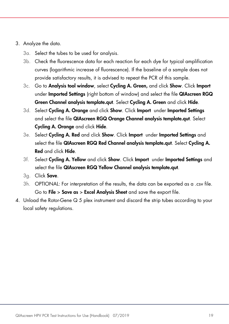- 3. Analyze the data.
	- 3a. Select the tubes to be used for analysis.
	- 3b. Check the fluorescence data for each reaction for each dye for typical amplification curves (logarithmic increase of fluorescence). If the baseline of a sample does not provide satisfactory results, it is advised to repeat the PCR of this sample.
	- 3c. Go to Analysis tool window, select Cycling A. Green, and click Show. Click Import under Imported Settings (right bottom of window) and select the file QIAscreen RGQ Green Channel analysis template.qut. Select Cycling A. Green and click Hide.
	- 3d. Select Cycling A. Orange and click Show. Click Import under Imported Settings and select the file QIAscreen RGQ Orange Channel analysis template.qut. Select Cycling A. Orange and click Hide.
	- 3e. Select Cycling A. Red and click Show. Click Import under Imported Settings and select the file QIAscreen RGQ Red Channel analysis template.qut. Select Cycling A. Red and click Hide.
	- 3f. Select Cycling A. Yellow and click Show. Click Import under Imported Settings and select the file QIAscreen RGQ Yellow Channel analysis template.qut.
	- 3g. Click Save.
	- 3h. OPTIONAL: For interpretation of the results, the data can be exported as a .csv file. Go to File > Save as > Excel Analysis Sheet and save the export file.
- 4. Unload the Rotor-Gene Q 5 plex instrument and discard the strip tubes according to your local safety regulations.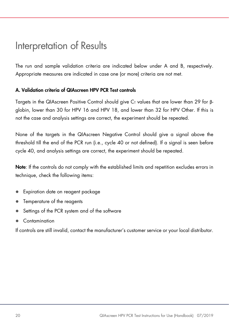### Interpretation of Results

The run and sample validation criteria are indicated below under A and B, respectively. Appropriate measures are indicated in case one (or more) criteria are not met.

#### A. Validation criteria of QIAscreen HPV PCR Test controls

Targets in the QIAscreen Positive Control should give C<sub>T</sub> values that are lower than 29 for βglobin, lower than 30 for HPV 16 and HPV 18, and lower than 32 for HPV Other. If this is not the case and analysis settings are correct, the experiment should be repeated.

None of the targets in the QIAscreen Negative Control should give a signal above the threshold till the end of the PCR run (i.e., cycle 40 or not defined). If a signal is seen before cycle 40, and analysis settings are correct, the experiment should be repeated.

Note: If the controls do not comply with the established limits and repetition excludes errors in technique, check the following items:

- Expiration date on reagent package
- Temperature of the reagents
- Settings of the PCR system and of the software
- Contamination

If controls are still invalid, contact the manufacturer's customer service or your local distributor.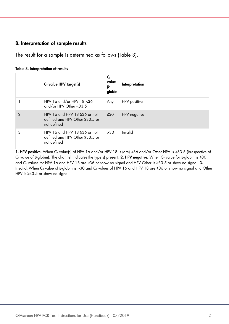#### B. Interpretation of sample results

The result for a sample is determined as follows (Table 3).

#### Table 3. Interpretation of results

|                | $CT$ value HPV target(s)                                                            | C,<br>value<br>β-<br>globin | Interpretation |
|----------------|-------------------------------------------------------------------------------------|-----------------------------|----------------|
|                | HPV 16 and/or HPV 18 < 36<br>and/or HPV Other <33.5                                 | Any                         | HPV positive   |
| $\overline{2}$ | HPV 16 and HPV 18 $\geq$ 36 or not<br>defined and HPV Other ≥33.5 or<br>not defined | $\leq 30$                   | HPV negative   |
| 3              | HPV 16 and HPV 18 $\geq$ 36 or not<br>defined and HPV Other ≥33.5 or<br>not defined | >30                         | Invalid        |

1. HPV positive. When  $C_T$  value(s) of HPV 16 and/or HPV 18 is (are) <36 and/or Other HPV is <33.5 (irrespective of C<sub>T</sub> value of β-globin). The channel indicates the type(s) present. 2. HPV negative. When C<sub>T</sub> value for β-globin is ≤30 and C<sub>T</sub> values for HPV 16 and HPV 18 are ≥36 or show no signal and HPV Other is ≥33.5 or show no signal. 3. Invalid. When C<sub>T</sub> value of β-globin is >30 and C<sub>T</sub> values of HPV 16 and HPV 18 are ≥36 or show no signal and Other HPV is ≥33.5 or show no signal.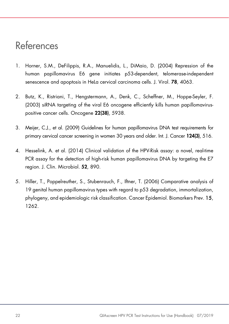### References

- 1. Horner, S.M., DeFilippis, R.A., Manuelidis, L., DiMaio, D. (2004) Repression of the human papillomavirus E6 gene initiates p53-dependent, telomerase-independent senescence and apoptosis in HeLa cervical carcinoma cells. J. Virol. 78, 4063.
- 2. Butz, K., Ristriani, T., Hengstermann, A., Denk, C., Scheffner, M., Hoppe-Seyler, F. (2003) siRNA targeting of the viral E6 oncogene efficiently kills human papillomaviruspositive cancer cells. Oncogene 22(38), 5938.
- 3. Meijer, C.J., et al. (2009) Guidelines for human papillomavirus DNA test requirements for primary cervical cancer screening in women 30 years and older. Int. J. Cancer 124(3), 516.
- 4. Hesselink, A. et al. (2014) Clinical validation of the HPV-Risk assay: a novel, real-time PCR assay for the detection of high-risk human papillomavirus DNA by targeting the E7 region. J. Clin. Microbiol. 52, 890.
- 5. Hiller, T., Poppelreuther, S., Stubenrauch, F., Iftner, T. (2006) Comparative analysis of 19 genital human papillomavirus types with regard to p53 degradation, immortalization, phylogeny, and epidemiologic risk classification. Cancer Epidemiol. Biomarkers Prev. 15, 1262.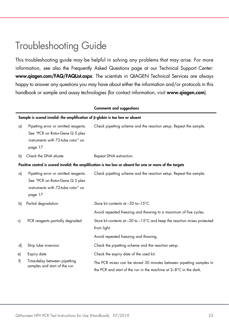### Troubleshooting Guide

This troubleshooting guide may be helpful in solving any problems that may arise. For more information, see also the Frequently Asked Questions page at our Technical Support Center: www.qiagen.com/FAQ/FAQList.aspx. The scientists in QIAGEN Technical Services are always happy to answer any questions you may have about either the information and/or protocols in this handbook or sample and assay technologies (for contact information, visit www.qiagen.com).

|    |                                                                                                                          | <b>Comments and suggestions</b>                                                                                                          |  |  |  |  |  |
|----|--------------------------------------------------------------------------------------------------------------------------|------------------------------------------------------------------------------------------------------------------------------------------|--|--|--|--|--|
|    | Sample is scored invalid: the amplification of $\beta$ -globin is too low or absent                                      |                                                                                                                                          |  |  |  |  |  |
| a) | Pipetting error or omitted reagents.<br>See "PCR on Rotor-Gene Q 5 plex<br>instruments with 72-tube rotor" on<br>page 17 | Check pipetting scheme and the reaction setup. Repeat the sample.                                                                        |  |  |  |  |  |
| bl | Check the DNA eluate                                                                                                     | Repeat DNA extraction.                                                                                                                   |  |  |  |  |  |
|    |                                                                                                                          | Positive control is scored invalid: the amplification is too low or absent for one or more of the targets                                |  |  |  |  |  |
| a) | Pipetting error or omitted reagents.<br>See "PCR on Rotor-Gene Q 5 plex<br>instruments with 72-tube rotor" on<br>page 17 | Check pipetting scheme and the reaction setup. Repeat the sample.                                                                        |  |  |  |  |  |
| b) | Partial degradation                                                                                                      | Store kit contents at -30 to-15°C.                                                                                                       |  |  |  |  |  |
|    |                                                                                                                          | Avoid repeated freezing and thawing to a maximum of five cycles.                                                                         |  |  |  |  |  |
| c) | PCR reagents partially degraded                                                                                          | Store kit contents at -30 to -15°C and keep the reaction mixes protected<br>from light.                                                  |  |  |  |  |  |
|    |                                                                                                                          | Avoid repeated freezing and thawing.                                                                                                     |  |  |  |  |  |
| d) | Strip tube inversion                                                                                                     | Check the pipetting scheme and the reaction setup.                                                                                       |  |  |  |  |  |
| e) | Expiry date                                                                                                              | Check the expiry date of the used kit.                                                                                                   |  |  |  |  |  |
| f) | Time-delay between pipetting<br>samples and start of the run                                                             | The PCR mixes can be stored 30 minutes between pipetting samples in<br>the PCR and start of the run in the machine at 2-8°C in the dark. |  |  |  |  |  |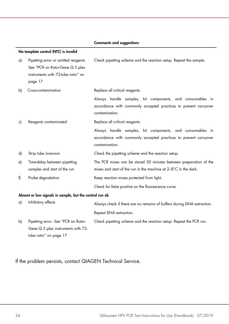|    | No template control (NTC) is invalid                                                                                     |                                                                                                                                                 |
|----|--------------------------------------------------------------------------------------------------------------------------|-------------------------------------------------------------------------------------------------------------------------------------------------|
| a) | Pipetting error or omitted reagents.<br>See "PCR on Rotor-Gene Q 5 plex<br>instruments with 72-tube rotor" on<br>page 17 | Check pipetting scheme and the reaction setup. Repeat the sample.                                                                               |
| b) | Cross-contamination                                                                                                      | Replace all critical reagents.                                                                                                                  |
|    |                                                                                                                          | Always handle samples, kit components, and consumables in<br>accordance with commonly accepted practices to prevent carryover<br>contamination. |
| c) | Reagents contaminated                                                                                                    | Replace all critical reagents.                                                                                                                  |
|    |                                                                                                                          | Always handle samples, kit components, and consumables in<br>accordance with commonly accepted practices to prevent carryover<br>contamination. |
| d) | Strip tube inversion                                                                                                     | Check the pipetting scheme and the reaction setup.                                                                                              |
| e) | Time-delay between pipetting<br>samples and start of the run                                                             | The PCR mixes can be stored 30 minutes between preparation of the<br>mixes and start of the run in the machine at 2-8°C in the dark.            |
| f) | Probe degradation                                                                                                        | Keep reaction mixes protected from light.                                                                                                       |
|    |                                                                                                                          | Check for false positive on the fluorescence curve.                                                                                             |
|    | Absent or low signals in sample, but the control run ok                                                                  |                                                                                                                                                 |
| a) | Inhibitory effects                                                                                                       | Always check if there are no remains of buffers during DNA extraction.                                                                          |
|    |                                                                                                                          | Repeat DNA extraction.                                                                                                                          |
| b) | Pipetting error. See "PCR on Rotor-<br>Gene Q 5 plex instruments with 72-<br>tube rotor" on page 17                      | Check pipetting scheme and the reaction setup. Repeat the PCR run.                                                                              |

#### Comments and suggestions

If the problem persists, contact QIAGEN Technical Service.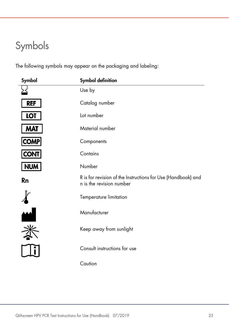# Symbols

The following symbols may appear on the packaging and labeling:

| Symbol           | <b>Symbol definition</b>                                                                 |
|------------------|------------------------------------------------------------------------------------------|
|                  | Use by                                                                                   |
| <b>REF</b>       | Catalog number                                                                           |
| <b>LOT</b>       | Lot number                                                                               |
| <b>MAT</b>       | Material number                                                                          |
| <b>COMP</b>      | Components                                                                               |
| <b>CONT</b>      | Contains                                                                                 |
| <b>NUM</b>       | Number                                                                                   |
| Rn               | R is for revision of the Instructions for Use (Handbook) and<br>n is the revision number |
|                  | Temperature limitation                                                                   |
| $\blacktriangle$ | Manufacturer                                                                             |
|                  | Keep away from sunlight                                                                  |
|                  | Consult instructions for use                                                             |
|                  | Caution                                                                                  |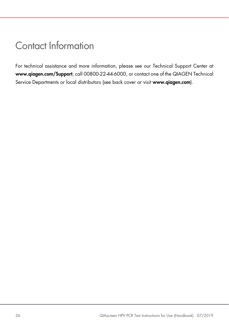### Contact Information

For technical assistance and more information, please see our Technical Support Center at www.qiagen.com/Support, call 00800-22-44-6000, or contact one of the QIAGEN Technical Service Departments or local distributors (see back cover or visit www.qiagen.com).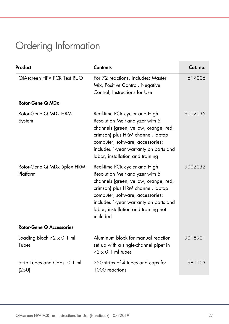# Ordering Information

| Product                                   | <b>Contents</b>                                                                                                                                                                                                                                                                 | Cat. no. |  |
|-------------------------------------------|---------------------------------------------------------------------------------------------------------------------------------------------------------------------------------------------------------------------------------------------------------------------------------|----------|--|
| QIAscreen HPV PCR Test RUO                | For 72 reactions, includes: Master<br>Mix, Positive Control, Negative<br>Control, Instructions for Use                                                                                                                                                                          | 617006   |  |
| Rotor-Gene Q MDx                          |                                                                                                                                                                                                                                                                                 |          |  |
| Rotor-Gene Q MDx HRM<br>System            | Real-time PCR cycler and High<br>Resolution Melt analyzer with 5<br>channels (green, yellow, orange, red,<br>crimson) plus HRM channel, laptop<br>computer, software, accessories:<br>includes 1-year warranty on parts and<br>labor, installation and training                 | 9002035  |  |
| Rotor-Gene Q MDx 5plex HRM<br>Platform    | Real-time PCR cycler and High<br>Resolution Melt analyzer with 5<br>channels (green, yellow, orange, red,<br>crimson) plus HRM channel, laptop<br>computer, software, accessories:<br>includes 1-year warranty on parts and<br>labor, installation and training not<br>included | 9002032  |  |
| <b>Rotor-Gene Q Accessories</b>           |                                                                                                                                                                                                                                                                                 |          |  |
| Loading Block $72 \times 0.1$ ml<br>Tubes | Aluminum block for manual reaction<br>set up with a single-channel pipet in<br>$72 \times 0.1$ ml tubes                                                                                                                                                                         | 9018901  |  |
| Strip Tubes and Caps, 0.1 ml<br>(250)     | 250 strips of 4 tubes and caps for<br>1000 reactions                                                                                                                                                                                                                            | 981103   |  |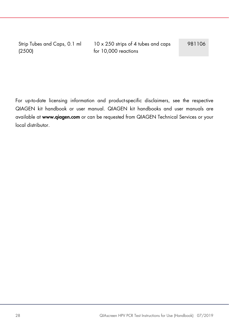Strip Tubes and Caps, 0.1 ml (2500)

10 x 250 strips of 4 tubes and caps for 10,000 reactions

981106

For up-to-date licensing information and product-specific disclaimers, see the respective QIAGEN kit handbook or user manual. QIAGEN kit handbooks and user manuals are available at www.qiagen.com or can be requested from QIAGEN Technical Services or your local distributor.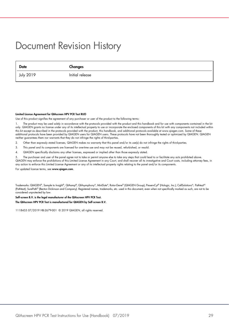### Document Revision History

 Date Changes July 2019 Initial release

#### Limited License Agreement for QIAscreen HPV PCR Test RUO

Use of this product signifies the agreement of any purchaser or user of the product to the following terms:

1. The product may be used solely in accordance with the protocols provided with the product and this handbook and for use with components contained in the kit only. QIAGEN grants no license under any of its intellectual property to use or incorporate the enclosed components of this kit with any components not included within this kit except as described in the protocols provided with the product, this handbook, and additional protocols available at www.qiagen.com. Some of these additional protocols have been provided by QIAGEN users for QIAGEN users. These protocols have not been thoroughly tested or optimized by QIAGEN. QIAGEN neither guarantees them nor warrants that they do not infringe the rights of third-parties.

2. Other than expressly stated licenses, QIAGEN makes no warranty that this panel and/or its use(s) do not infringe the rights of third-parties.

- 3. This panel and its components are licensed for one-time use and may not be reused, refurbished, or resold.
- 4. QIAGEN specifically disclaims any other licenses, expressed or implied other than those expressly stated.

The purchaser and user of the panel agree not to take or permit anyone else to take any steps that could lead to or facilitate any acts prohibited above QIAGEN may enforce the prohibitions of this Limited License Agreement in any Court, and shall recover all its investigative and Court costs, including attorney fees, in any action to enforce this Limited License Agreement or any of its intellectual property rights relating to the panel and/or its components.

For updated license terms, see www.qiagen.com.

Trademarks: QIAGEN®, Sample to Insight®, QIAamp®, QIAsymphony®, MinElute®, Rotor-Gene® (QIAGEN Group); PreservCyt® (Hologic, Inc.); CellSolutions®; Pathtezt<sup>t®</sup> (Pathtezt); SurePath® (Becton Dickinson and Company). Registered names, trademarks, etc. used in this document, even when not specifically marked as such, are not to be considered unprotected by law.

#### Self-screen B.V. is the legal manufacturer of the QIAscreen HPV PCR Test.

#### The QIAscreen HPV PCR Test is manufactured for QIAGEN by Self-screen B.V.

1118455 07/2019 HB-2679-001 © 2019 QIAGEN, all rights reserved.